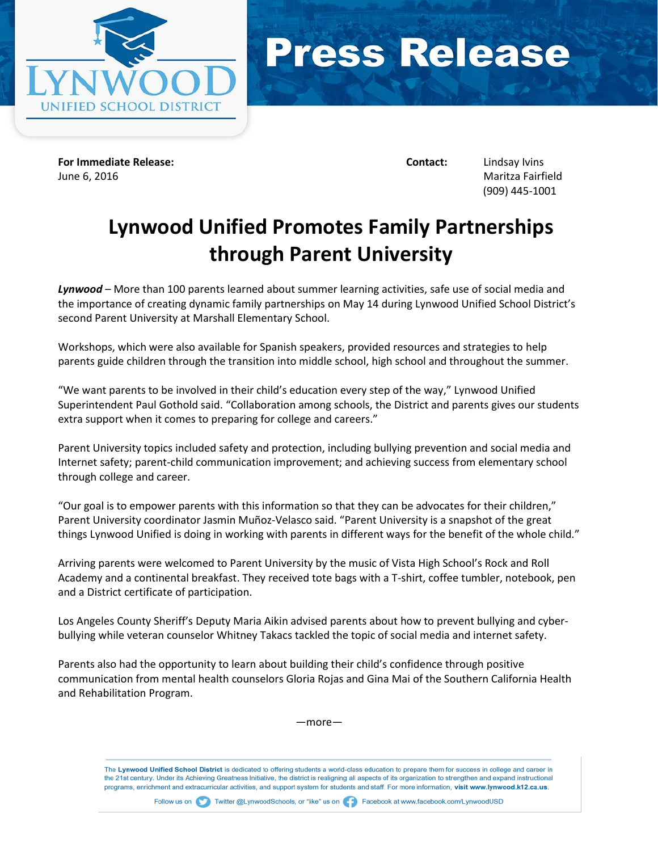



**For Immediate Release: Contact:** Lindsay Ivins June 6, 2016 Maritza Fairfield

(909) 445-1001

## **Lynwood Unified Promotes Family Partnerships through Parent University**

*Lynwood* – More than 100 parents learned about summer learning activities, safe use of social media and the importance of creating dynamic family partnerships on May 14 during Lynwood Unified School District's second Parent University at Marshall Elementary School.

Workshops, which were also available for Spanish speakers, provided resources and strategies to help parents guide children through the transition into middle school, high school and throughout the summer.

"We want parents to be involved in their child's education every step of the way," Lynwood Unified Superintendent Paul Gothold said. "Collaboration among schools, the District and parents gives our students extra support when it comes to preparing for college and careers."

Parent University topics included safety and protection, including bullying prevention and social media and Internet safety; parent-child communication improvement; and achieving success from elementary school through college and career.

"Our goal is to empower parents with this information so that they can be advocates for their children," Parent University coordinator Jasmin Muñoz-Velasco said. "Parent University is a snapshot of the great things Lynwood Unified is doing in working with parents in different ways for the benefit of the whole child."

Arriving parents were welcomed to Parent University by the music of Vista High School's Rock and Roll Academy and a continental breakfast. They received tote bags with a T-shirt, coffee tumbler, notebook, pen and a District certificate of participation.

Los Angeles County Sheriff's Deputy Maria Aikin advised parents about how to prevent bullying and cyberbullying while veteran counselor Whitney Takacs tackled the topic of social media and internet safety.

Parents also had the opportunity to learn about building their child's confidence through positive communication from mental health counselors Gloria Rojas and Gina Mai of the Southern California Health and Rehabilitation Program.

—more—

The Lynwood Unified School District is dedicated to offering students a world-class education to prepare them for success in college and career in the 21st century. Under its Achieving Greatness Initiative, the district is realigning all aspects of its organization to strengthen and expand instructional programs, enrichment and extracurricular activities, and support system for students and staff. For more information, visit www.lynwood.k12.ca.us.